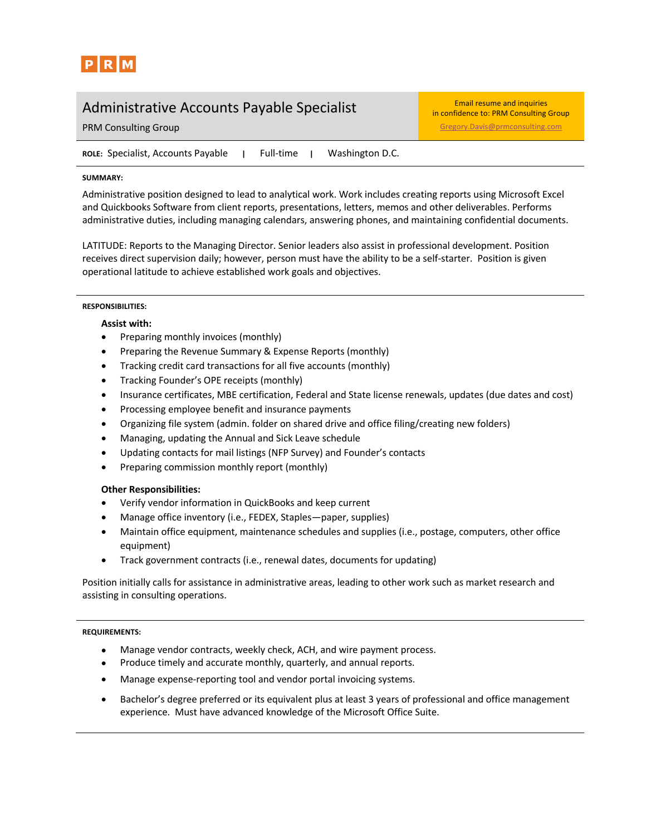

# Administrative Accounts Payable Specialist Email resume and inquiries

in confidence to: PRM Consulting Group **PRM Consulting Group Gregory.** Davis Consulting Gregory. Davis @prmconsulting.com

**ROLE:** Specialist, Accounts Payable **|** Full-time **|** Washington D.C.

## **SUMMARY:**

Administrative position designed to lead to analytical work. Work includes creating reports using Microsoft Excel and Quickbooks Software from client reports, presentations, letters, memos and other deliverables. Performs administrative duties, including managing calendars, answering phones, and maintaining confidential documents.

LATITUDE: Reports to the Managing Director. Senior leaders also assist in professional development. Position receives direct supervision daily; however, person must have the ability to be a self-starter. Position is given operational latitude to achieve established work goals and objectives.

## **RESPONSIBILITIES:**

## **Assist with:**

- Preparing monthly invoices (monthly)
- Preparing the Revenue Summary & Expense Reports (monthly)
- Tracking credit card transactions for all five accounts (monthly)
- Tracking Founder's OPE receipts (monthly)
- Insurance certificates, MBE certification, Federal and State license renewals, updates (due dates and cost)
- Processing employee benefit and insurance payments
- Organizing file system (admin. folder on shared drive and office filing/creating new folders)
- Managing, updating the Annual and Sick Leave schedule
- Updating contacts for mail listings (NFP Survey) and Founder's contacts
- Preparing commission monthly report (monthly)

## **Other Responsibilities:**

- Verify vendor information in QuickBooks and keep current
- Manage office inventory (i.e., FEDEX, Staples—paper, supplies)
- Maintain office equipment, maintenance schedules and supplies (i.e., postage, computers, other office equipment)
- Track government contracts (i.e., renewal dates, documents for updating)

Position initially calls for assistance in administrative areas, leading to other work such as market research and assisting in consulting operations.

## **REQUIREMENTS:**

- Manage vendor contracts, weekly check, ACH, and wire payment process.
- Produce timely and accurate monthly, quarterly, and annual reports.
- Manage expense-reporting tool and vendor portal invoicing systems.
- Bachelor's degree preferred or its equivalent plus at least 3 years of professional and office management experience. Must have advanced knowledge of the Microsoft Office Suite.